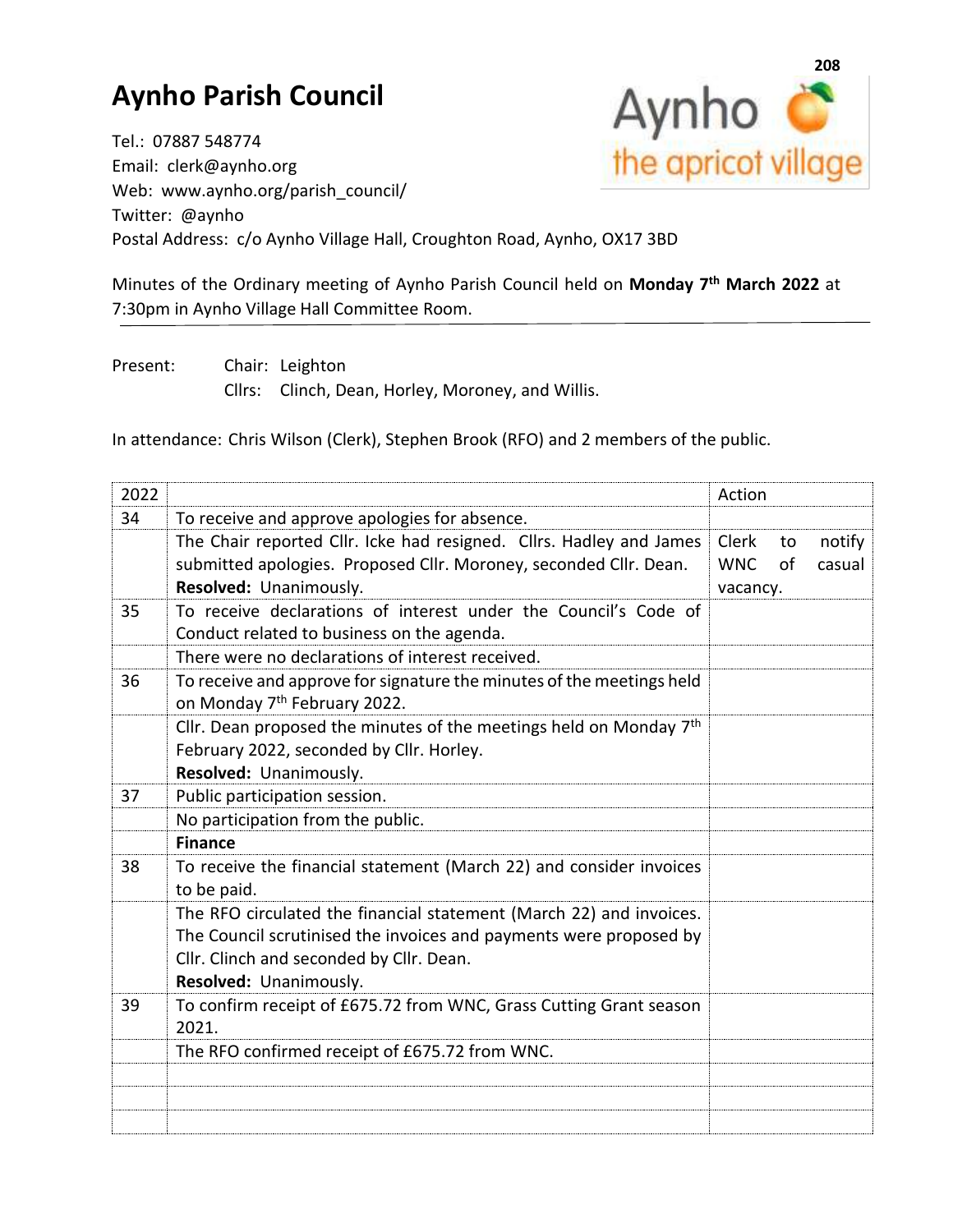## **Aynho Parish Council**



Tel.: 07887 548774 Email: clerk@aynho.org Web: www.aynho.org/parish\_council/ Twitter: @aynho Postal Address: c/o Aynho Village Hall, Croughton Road, Aynho, OX17 3BD

Minutes of the Ordinary meeting of Aynho Parish Council held on **Monday 7 th March 2022** at 7:30pm in Aynho Village Hall Committee Room.

Present: Chair: Leighton Cllrs: Clinch, Dean, Horley, Moroney, and Willis.

In attendance: Chris Wilson (Clerk), Stephen Brook (RFO) and 2 members of the public.

| 2022 |                                                                                                                   | Action                                 |
|------|-------------------------------------------------------------------------------------------------------------------|----------------------------------------|
| 34   | To receive and approve apologies for absence.                                                                     |                                        |
|      | The Chair reported Cllr. Icke had resigned. Cllrs. Hadley and James                                               | Clerk<br>notify<br>to                  |
|      | submitted apologies. Proposed Cllr. Moroney, seconded Cllr. Dean.<br>Resolved: Unanimously.                       | <b>WNC</b><br>of<br>casual<br>vacancy. |
| 35   | To receive declarations of interest under the Council's Code of                                                   |                                        |
|      | Conduct related to business on the agenda.                                                                        |                                        |
|      | There were no declarations of interest received.                                                                  |                                        |
| 36   | To receive and approve for signature the minutes of the meetings held<br>on Monday 7 <sup>th</sup> February 2022. |                                        |
|      | Cllr. Dean proposed the minutes of the meetings held on Monday $7th$<br>February 2022, seconded by Cllr. Horley.  |                                        |
|      | Resolved: Unanimously.                                                                                            |                                        |
| 37   | Public participation session.                                                                                     |                                        |
|      | No participation from the public.                                                                                 |                                        |
|      | <b>Finance</b>                                                                                                    |                                        |
| 38   | To receive the financial statement (March 22) and consider invoices<br>to be paid.                                |                                        |
|      | The RFO circulated the financial statement (March 22) and invoices.                                               |                                        |
|      | The Council scrutinised the invoices and payments were proposed by                                                |                                        |
|      | Cllr. Clinch and seconded by Cllr. Dean.                                                                          |                                        |
|      | Resolved: Unanimously.                                                                                            |                                        |
| 39   | To confirm receipt of £675.72 from WNC, Grass Cutting Grant season<br>2021.                                       |                                        |
|      | The RFO confirmed receipt of £675.72 from WNC.                                                                    |                                        |
|      |                                                                                                                   |                                        |
|      |                                                                                                                   |                                        |
|      |                                                                                                                   |                                        |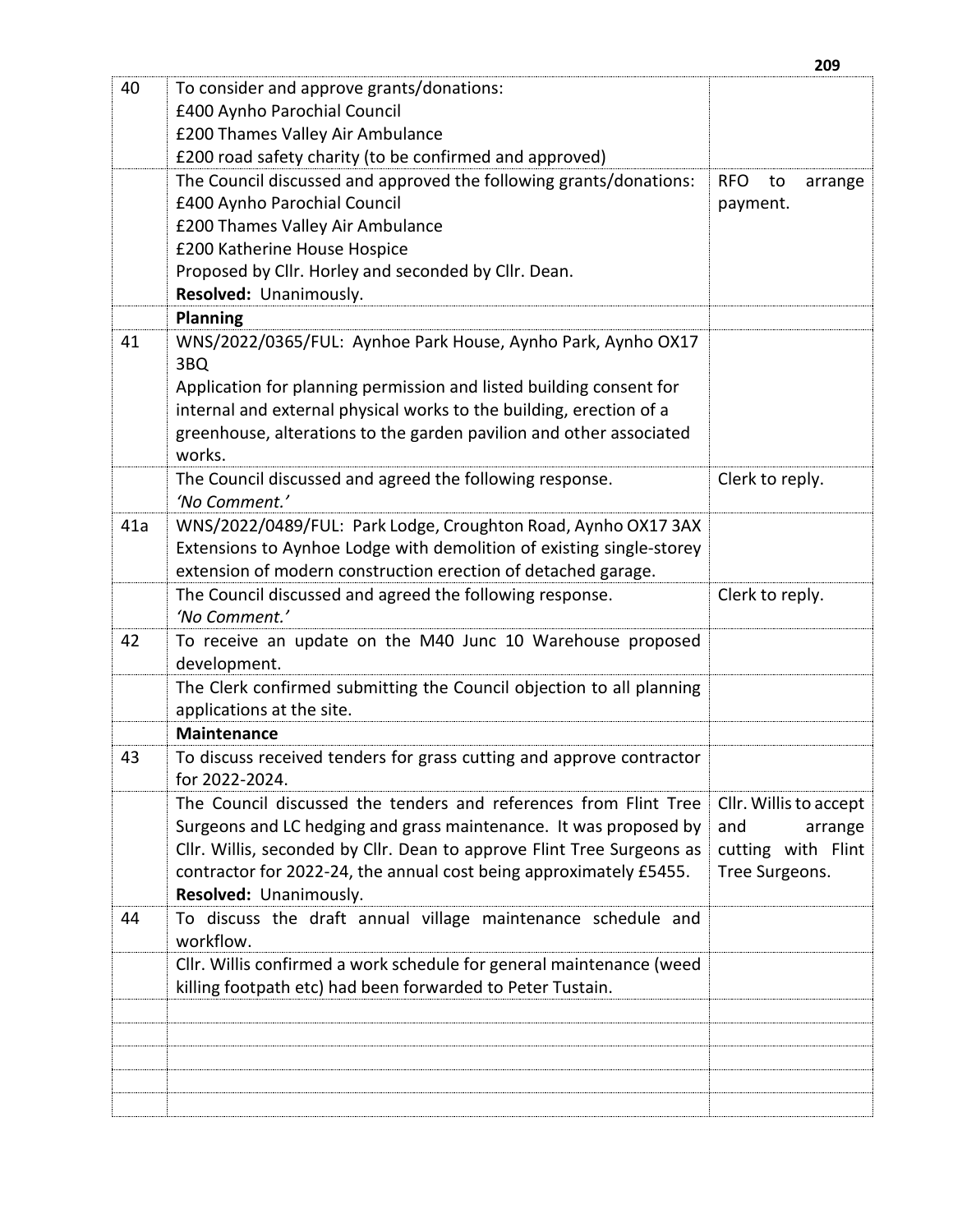|     |                                                                                                                                                                                                                                                                                                                                                                                                                                      | 209                                                                              |
|-----|--------------------------------------------------------------------------------------------------------------------------------------------------------------------------------------------------------------------------------------------------------------------------------------------------------------------------------------------------------------------------------------------------------------------------------------|----------------------------------------------------------------------------------|
| 40  | To consider and approve grants/donations:<br>£400 Aynho Parochial Council<br>£200 Thames Valley Air Ambulance<br>£200 road safety charity (to be confirmed and approved)<br>The Council discussed and approved the following grants/donations:<br>£400 Aynho Parochial Council<br>£200 Thames Valley Air Ambulance<br>£200 Katherine House Hospice<br>Proposed by Cllr. Horley and seconded by Cllr. Dean.<br>Resolved: Unanimously. | <b>RFO</b><br>to<br>arrange<br>payment.                                          |
|     | <b>Planning</b>                                                                                                                                                                                                                                                                                                                                                                                                                      |                                                                                  |
| 41  | WNS/2022/0365/FUL: Aynhoe Park House, Aynho Park, Aynho OX17<br>3BQ<br>Application for planning permission and listed building consent for<br>internal and external physical works to the building, erection of a<br>greenhouse, alterations to the garden pavilion and other associated<br>works.                                                                                                                                   |                                                                                  |
|     | The Council discussed and agreed the following response.<br>'No Comment.'                                                                                                                                                                                                                                                                                                                                                            | Clerk to reply.                                                                  |
| 41a | WNS/2022/0489/FUL: Park Lodge, Croughton Road, Aynho OX17 3AX<br>Extensions to Aynhoe Lodge with demolition of existing single-storey<br>extension of modern construction erection of detached garage.                                                                                                                                                                                                                               |                                                                                  |
|     | The Council discussed and agreed the following response.<br>'No Comment.'                                                                                                                                                                                                                                                                                                                                                            | Clerk to reply.                                                                  |
| 42  | To receive an update on the M40 Junc 10 Warehouse proposed<br>development.                                                                                                                                                                                                                                                                                                                                                           |                                                                                  |
|     | The Clerk confirmed submitting the Council objection to all planning<br>applications at the site.                                                                                                                                                                                                                                                                                                                                    |                                                                                  |
|     | <b>Maintenance</b>                                                                                                                                                                                                                                                                                                                                                                                                                   |                                                                                  |
| 43  | To discuss received tenders for grass cutting and approve contractor<br>for 2022-2024.                                                                                                                                                                                                                                                                                                                                               |                                                                                  |
|     | The Council discussed the tenders and references from Flint Tree<br>Surgeons and LC hedging and grass maintenance. It was proposed by<br>Cllr. Willis, seconded by Cllr. Dean to approve Flint Tree Surgeons as<br>contractor for 2022-24, the annual cost being approximately £5455.<br>Resolved: Unanimously.                                                                                                                      | Cllr. Willis to accept<br>and<br>arrange<br>cutting with Flint<br>Tree Surgeons. |
| 44  | To discuss the draft annual village maintenance schedule and<br>workflow.                                                                                                                                                                                                                                                                                                                                                            |                                                                                  |
|     | Cllr. Willis confirmed a work schedule for general maintenance (weed<br>killing footpath etc) had been forwarded to Peter Tustain.                                                                                                                                                                                                                                                                                                   |                                                                                  |
|     |                                                                                                                                                                                                                                                                                                                                                                                                                                      |                                                                                  |
|     |                                                                                                                                                                                                                                                                                                                                                                                                                                      |                                                                                  |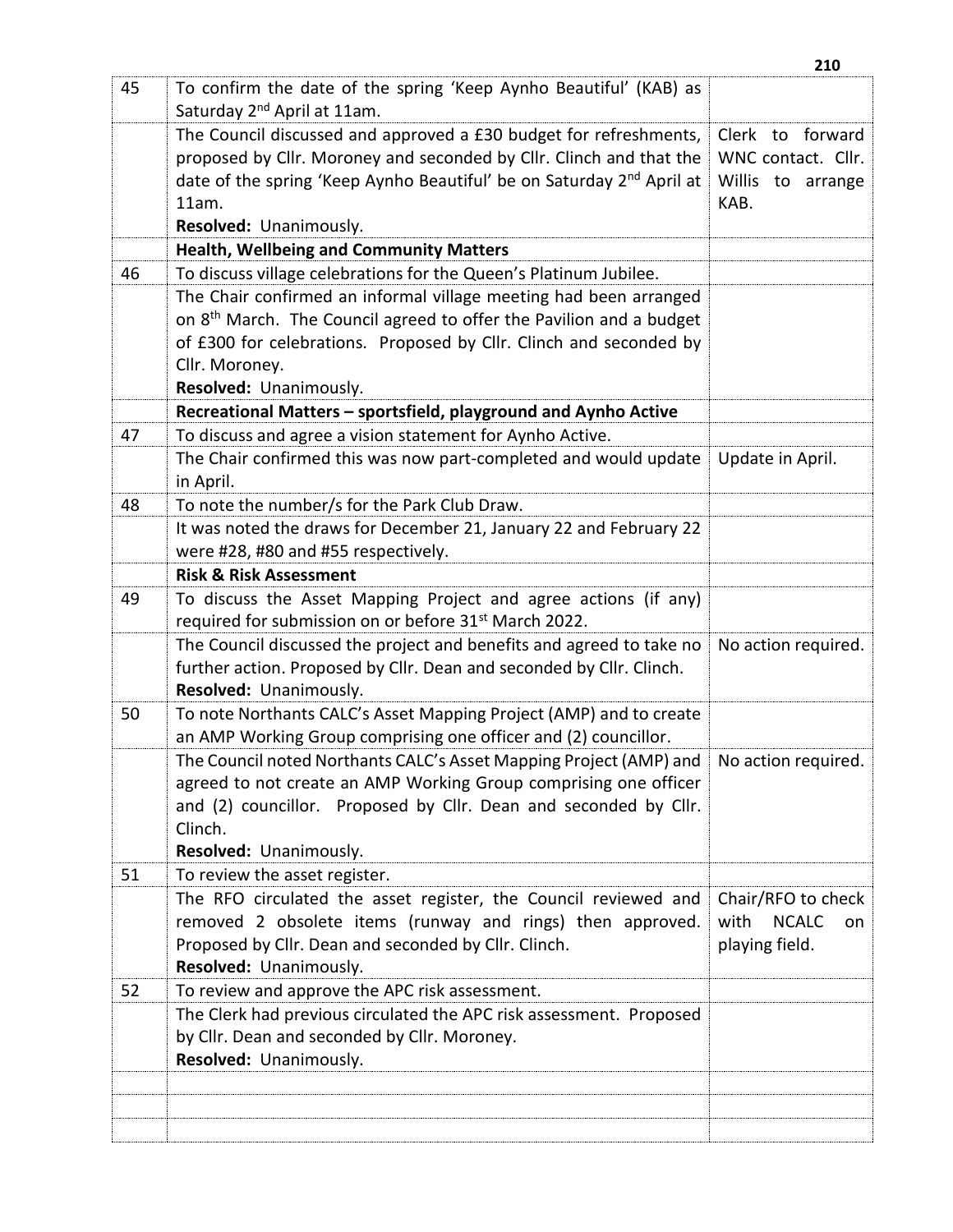| 45 | To confirm the date of the spring 'Keep Aynho Beautiful' (KAB) as<br>Saturday 2 <sup>nd</sup> April at 11am. |                            |
|----|--------------------------------------------------------------------------------------------------------------|----------------------------|
|    | The Council discussed and approved a £30 budget for refreshments,                                            | Clerk to forward           |
|    | proposed by Cllr. Moroney and seconded by Cllr. Clinch and that the                                          | WNC contact. Cllr.         |
|    | date of the spring 'Keep Aynho Beautiful' be on Saturday 2 <sup>nd</sup> April at                            | Willis to arrange          |
|    | 11am.                                                                                                        | KAB.                       |
|    | Resolved: Unanimously.                                                                                       |                            |
|    | <b>Health, Wellbeing and Community Matters</b>                                                               |                            |
| 46 | To discuss village celebrations for the Queen's Platinum Jubilee.                                            |                            |
|    | The Chair confirmed an informal village meeting had been arranged                                            |                            |
|    | on 8 <sup>th</sup> March. The Council agreed to offer the Pavilion and a budget                              |                            |
|    | of £300 for celebrations. Proposed by Cllr. Clinch and seconded by                                           |                            |
|    | Cllr. Moroney.                                                                                               |                            |
|    | Resolved: Unanimously.                                                                                       |                            |
|    | Recreational Matters - sportsfield, playground and Aynho Active                                              |                            |
| 47 | To discuss and agree a vision statement for Aynho Active.                                                    |                            |
|    | The Chair confirmed this was now part-completed and would update                                             | Update in April.           |
|    | in April.                                                                                                    |                            |
| 48 | To note the number/s for the Park Club Draw.                                                                 |                            |
|    | It was noted the draws for December 21, January 22 and February 22                                           |                            |
|    | were #28, #80 and #55 respectively.                                                                          |                            |
|    | <b>Risk &amp; Risk Assessment</b>                                                                            |                            |
| 49 | To discuss the Asset Mapping Project and agree actions (if any)                                              |                            |
|    | required for submission on or before 31 <sup>st</sup> March 2022.                                            |                            |
|    | The Council discussed the project and benefits and agreed to take no                                         | No action required.        |
|    | further action. Proposed by Cllr. Dean and seconded by Cllr. Clinch.                                         |                            |
|    | Resolved: Unanimously.                                                                                       |                            |
| 50 | To note Northants CALC's Asset Mapping Project (AMP) and to create                                           |                            |
|    | an AMP Working Group comprising one officer and (2) councillor.                                              |                            |
|    | The Council noted Northants CALC's Asset Mapping Project (AMP) and                                           | No action required.        |
|    | agreed to not create an AMP Working Group comprising one officer                                             |                            |
|    | and (2) councillor. Proposed by Cllr. Dean and seconded by Cllr.                                             |                            |
|    | Clinch.                                                                                                      |                            |
|    | Resolved: Unanimously.                                                                                       |                            |
| 51 | To review the asset register.                                                                                |                            |
|    | The RFO circulated the asset register, the Council reviewed and                                              | Chair/RFO to check         |
|    | removed 2 obsolete items (runway and rings) then approved.                                                   | with<br><b>NCALC</b><br>on |
|    | Proposed by Cllr. Dean and seconded by Cllr. Clinch.                                                         | playing field.             |
|    | Resolved: Unanimously.                                                                                       |                            |
| 52 | To review and approve the APC risk assessment.                                                               |                            |
|    | The Clerk had previous circulated the APC risk assessment. Proposed                                          |                            |
|    | by Cllr. Dean and seconded by Cllr. Moroney.                                                                 |                            |
|    | Resolved: Unanimously.                                                                                       |                            |
|    |                                                                                                              |                            |
|    |                                                                                                              |                            |
|    |                                                                                                              |                            |